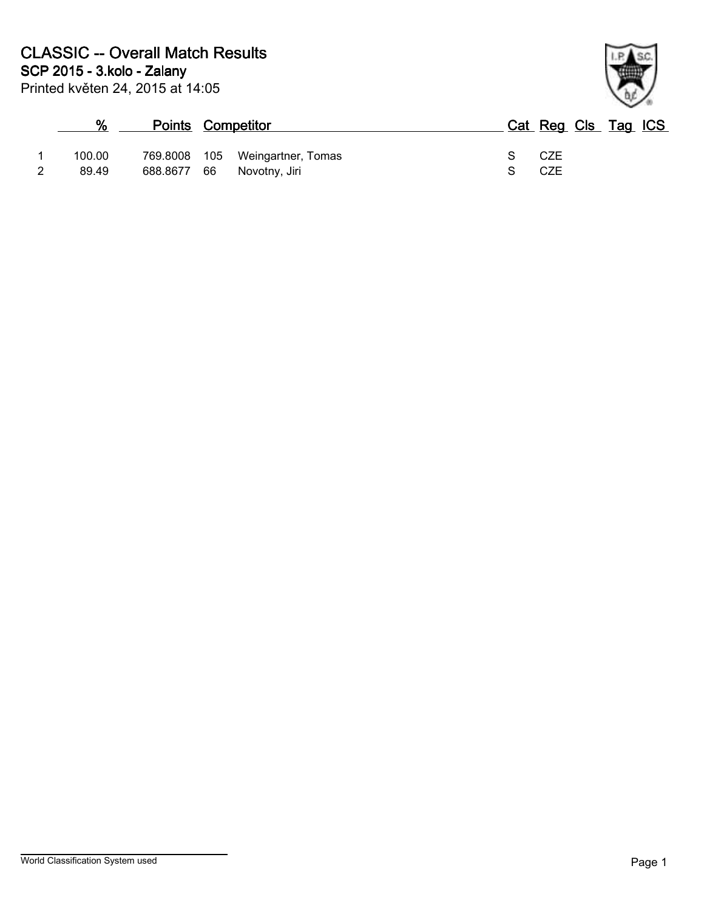

|        | <b>Points Competitor</b> |     |                    |   | Cat Reg Cls Tag ICS |  |  |
|--------|--------------------------|-----|--------------------|---|---------------------|--|--|
| 100.00 | 769.8008                 | 105 | Weingartner, Tomas | 9 | CZE                 |  |  |
| 89.49  | 688.8677 66              |     | Novotny, Jiri      |   | CZE                 |  |  |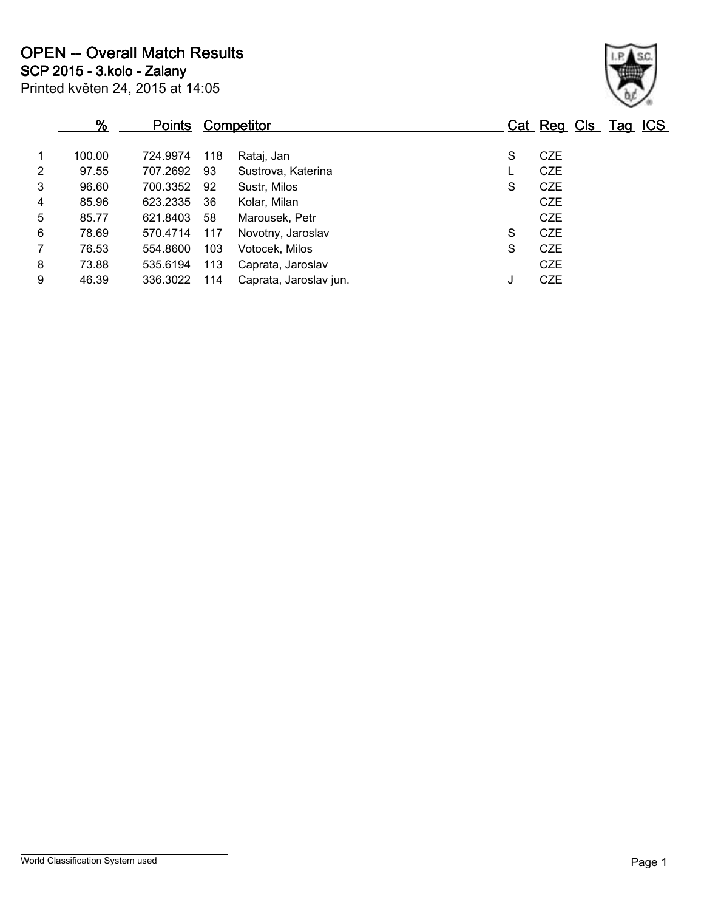|                | %      | <b>Points</b> |     | <b>Competitor</b>      |   | Cat Reg Cls Tag ICS |  |  |
|----------------|--------|---------------|-----|------------------------|---|---------------------|--|--|
| $\mathbf{1}$   | 100.00 | 724.9974      | 118 | Rataj, Jan             | S | <b>CZE</b>          |  |  |
| $\overline{2}$ | 97.55  | 707.2692      | 93  | Sustrova, Katerina     |   | <b>CZE</b>          |  |  |
| 3              | 96.60  | 700.3352      | 92  | Sustr, Milos           | S | CZE                 |  |  |
| 4              | 85.96  | 623.2335      | -36 | Kolar, Milan           |   | <b>CZE</b>          |  |  |
| 5              | 85.77  | 621.8403      | 58  | Marousek, Petr         |   | <b>CZE</b>          |  |  |
| 6              | 78.69  | 570.4714      | 117 | Novotny, Jaroslav      | S | <b>CZE</b>          |  |  |
| $\overline{7}$ | 76.53  | 554.8600      | 103 | Votocek, Milos         | S | <b>CZE</b>          |  |  |
| 8              | 73.88  | 535.6194      | 113 | Caprata, Jaroslav      |   | <b>CZE</b>          |  |  |
| 9              | 46.39  | 336.3022      | 114 | Caprata, Jaroslav jun. | J | <b>CZE</b>          |  |  |
|                |        |               |     |                        |   |                     |  |  |

Printed květen 24, 2015 at 14:05

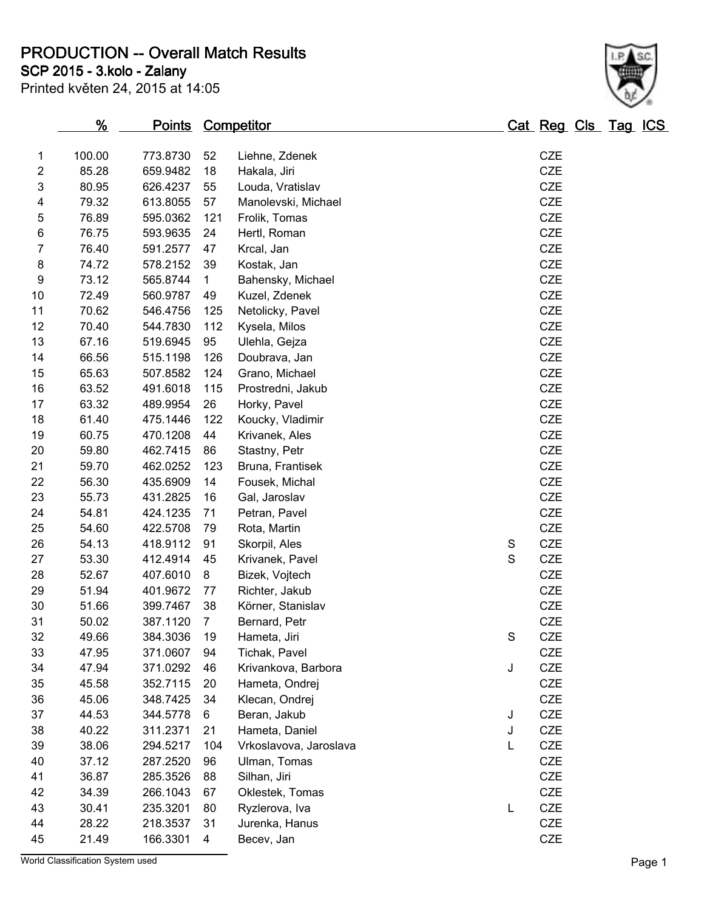**PRODUCTION -- Overall Match Results**

**SCP 2015 - 3.kolo - Zalany**

| Printed květen 24, 2015 at 14:05 |  |  |  |
|----------------------------------|--|--|--|
|----------------------------------|--|--|--|

| 2                | 85.28                            | 659.9482 | 18             | Hakala, Jiri           |             | <b>CZE</b> |        |
|------------------|----------------------------------|----------|----------------|------------------------|-------------|------------|--------|
| 3                | 80.95                            | 626.4237 | 55             | Louda, Vratislav       |             | <b>CZE</b> |        |
| 4                | 79.32                            | 613.8055 | 57             | Manolevski, Michael    |             | CZE        |        |
| 5                | 76.89                            | 595.0362 | 121            | Frolik, Tomas          |             | CZE        |        |
| 6                | 76.75                            | 593.9635 | 24             | Hertl, Roman           |             | CZE        |        |
| 7                | 76.40                            | 591.2577 | 47             | Krcal, Jan             |             | CZE        |        |
| 8                | 74.72                            | 578.2152 | 39             | Kostak, Jan            |             | CZE        |        |
| $\boldsymbol{9}$ | 73.12                            | 565.8744 | $\mathbf{1}$   | Bahensky, Michael      |             | CZE        |        |
| 10               | 72.49                            | 560.9787 | 49             | Kuzel, Zdenek          |             | CZE        |        |
| 11               | 70.62                            | 546.4756 | 125            | Netolicky, Pavel       |             | CZE        |        |
| 12               | 70.40                            | 544.7830 | 112            | Kysela, Milos          |             | CZE        |        |
| 13               | 67.16                            | 519.6945 | 95             | Ulehla, Gejza          |             | CZE        |        |
| 14               | 66.56                            | 515.1198 | 126            | Doubrava, Jan          |             | CZE        |        |
| 15               | 65.63                            | 507.8582 | 124            | Grano, Michael         |             | CZE        |        |
| 16               | 63.52                            | 491.6018 | 115            | Prostredni, Jakub      |             | CZE        |        |
| 17               | 63.32                            | 489.9954 | 26             | Horky, Pavel           |             | CZE        |        |
| 18               | 61.40                            | 475.1446 | 122            | Koucky, Vladimir       |             | <b>CZE</b> |        |
| 19               | 60.75                            | 470.1208 | 44             | Krivanek, Ales         |             | <b>CZE</b> |        |
| 20               | 59.80                            | 462.7415 | 86             | Stastny, Petr          |             | CZE        |        |
| 21               | 59.70                            | 462.0252 | 123            | Bruna, Frantisek       |             | CZE        |        |
| 22               | 56.30                            | 435.6909 | 14             | Fousek, Michal         |             | CZE        |        |
| 23               | 55.73                            | 431.2825 | 16             | Gal, Jaroslav          |             | CZE        |        |
| 24               | 54.81                            | 424.1235 | 71             | Petran, Pavel          |             | CZE        |        |
| 25               | 54.60                            | 422.5708 | 79             | Rota, Martin           |             | CZE        |        |
| 26               | 54.13                            | 418.9112 | 91             | Skorpil, Ales          | $\mathbf S$ | CZE        |        |
| 27               | 53.30                            | 412.4914 | 45             | Krivanek, Pavel        | S           | <b>CZE</b> |        |
| 28               | 52.67                            | 407.6010 | 8              | Bizek, Vojtech         |             | CZE        |        |
| 29               | 51.94                            | 401.9672 | 77             | Richter, Jakub         |             | CZE        |        |
| 30               | 51.66                            | 399.7467 | 38             | Körner, Stanislav      |             | CZE        |        |
| 31               | 50.02                            | 387.1120 | $\overline{7}$ | Bernard, Petr          |             | CZE        |        |
| 32               | 49.66                            | 384.3036 | 19             | Hameta, Jiri           | $\mathbf S$ | CZE        |        |
| 33               | 47.95                            | 371.0607 | 94             | Tichak, Pavel          |             | CZE        |        |
| 34               | 47.94                            | 371.0292 | 46             | Krivankova, Barbora    | J           | CZE        |        |
| 35               | 45.58                            | 352.7115 | 20             | Hameta, Ondrej         |             | CZE        |        |
| 36               | 45.06                            | 348.7425 | 34             | Klecan, Ondrej         |             | CZE        |        |
| 37               | 44.53                            | 344.5778 | 6              | Beran, Jakub           | J           | CZE        |        |
| 38               | 40.22                            | 311.2371 | 21             | Hameta, Daniel         | J           | CZE        |        |
| 39               | 38.06                            | 294.5217 | 104            | Vrkoslavova, Jaroslava | L           | <b>CZE</b> |        |
| 40               | 37.12                            | 287.2520 | 96             | Ulman, Tomas           |             | CZE        |        |
| 41               | 36.87                            | 285.3526 | 88             | Silhan, Jiri           |             | CZE        |        |
| 42               | 34.39                            | 266.1043 | 67             | Oklestek, Tomas        |             | CZE        |        |
| 43               | 30.41                            | 235.3201 | 80             | Ryzlerova, Iva         | L           | CZE        |        |
| 44               | 28.22                            | 218.3537 | 31             | Jurenka, Hanus         |             | CZE        |        |
| 45               | 21.49                            | 166.3301 | 4              | Becev, Jan             |             | CZE        |        |
|                  | World Classification System used |          |                |                        |             |            | Page 1 |
|                  |                                  |          |                |                        |             |            |        |

**% Points Competitor Cat Reg Cls Tag ICS**

1 100.00 773.8730 52 Liehne, Zdenek 1 1 100.00 CZE<br>2 85.28 659.9482 18 Hakala, Jiri

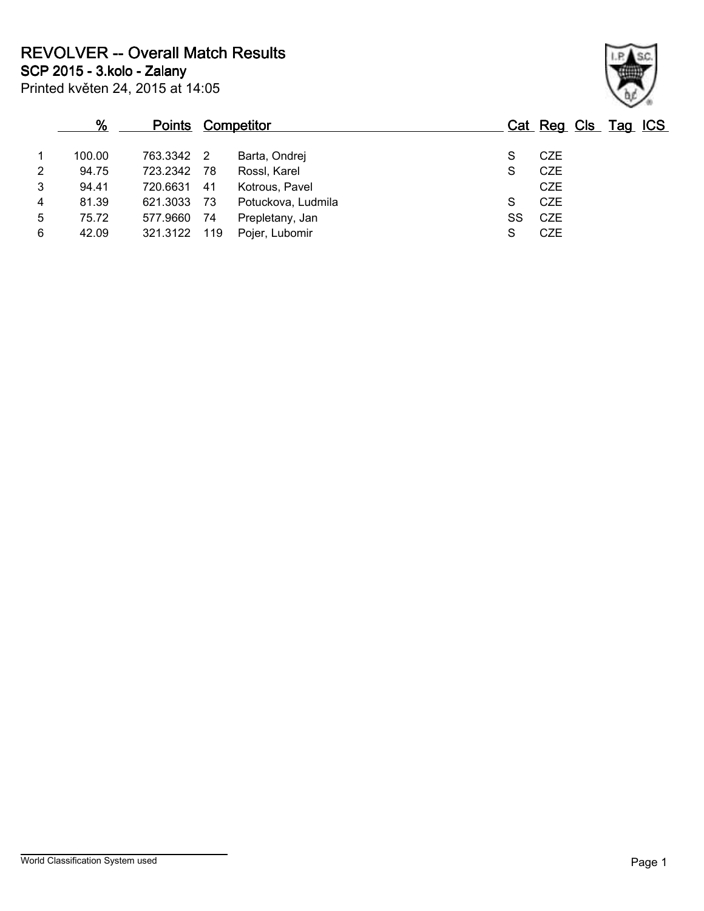**REVOLVER -- Overall Match Results**

**SCP 2015 - 3.kolo - Zalany**

|   | %      | <b>Points</b> |                | <u>Competitor</u>  |    | Cat Reg Cls Tag ICS |  |  |
|---|--------|---------------|----------------|--------------------|----|---------------------|--|--|
|   | 100.00 | 763.3342      | $\overline{2}$ | Barta, Ondrej      | S  | <b>CZE</b>          |  |  |
| 2 | 94.75  | 723.2342      | - 78           | Rossl, Karel       | S  | <b>CZE</b>          |  |  |
| 3 | 94.41  | 720.6631      | 41             | Kotrous, Pavel     |    | <b>CZE</b>          |  |  |
| 4 | 81.39  | 621.3033      | - 73           | Potuckova, Ludmila | S  | <b>CZE</b>          |  |  |
| 5 | 75.72  | 577.9660      | 74             | Prepletany, Jan    | SS | CZE                 |  |  |
| 6 | 42.09  | 321.3122      | 119            | Pojer, Lubomir     | S  | <b>CZE</b>          |  |  |
|   |        |               |                |                    |    |                     |  |  |



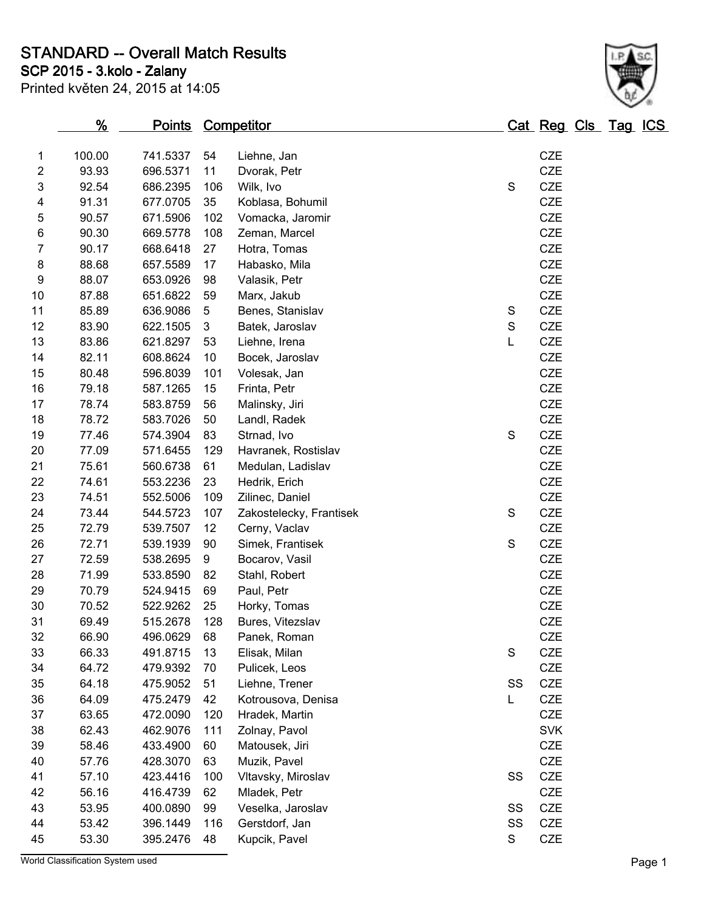**STANDARD -- Overall Match Results**

**SCP 2015 - 3.kolo - Zalany**

S.C.

|                | $\frac{9}{6}$ | <u>Points</u> |     | <b>Competitor</b>       |               | Cat Reg Cls Tag ICS |  |  |
|----------------|---------------|---------------|-----|-------------------------|---------------|---------------------|--|--|
| 1              | 100.00        | 741.5337      | 54  | Liehne, Jan             |               | <b>CZE</b>          |  |  |
| $\overline{2}$ | 93.93         | 696.5371      | 11  | Dvorak, Petr            |               | <b>CZE</b>          |  |  |
| 3              | 92.54         | 686.2395      | 106 | Wilk, Ivo               | $\mathsf S$   | <b>CZE</b>          |  |  |
| 4              | 91.31         | 677.0705      | 35  | Koblasa, Bohumil        |               | <b>CZE</b>          |  |  |
| 5              | 90.57         | 671.5906      | 102 | Vomacka, Jaromir        |               | <b>CZE</b>          |  |  |
| 6              | 90.30         | 669.5778      | 108 | Zeman, Marcel           |               | <b>CZE</b>          |  |  |
| $\overline{7}$ | 90.17         | 668.6418      | 27  | Hotra, Tomas            |               | <b>CZE</b>          |  |  |
| 8              | 88.68         | 657.5589      | 17  | Habasko, Mila           |               | <b>CZE</b>          |  |  |
| 9              | 88.07         | 653.0926      | 98  | Valasik, Petr           |               | <b>CZE</b>          |  |  |
| 10             | 87.88         | 651.6822      | 59  | Marx, Jakub             |               | <b>CZE</b>          |  |  |
| 11             | 85.89         | 636.9086      | 5   | Benes, Stanislav        | $\mathbb S$   | CZE                 |  |  |
| 12             | 83.90         | 622.1505      | 3   | Batek, Jaroslav         | ${\mathsf S}$ | <b>CZE</b>          |  |  |
| 13             | 83.86         | 621.8297      | 53  | Liehne, Irena           | Г             | CZE                 |  |  |
| 14             | 82.11         | 608.8624      | 10  | Bocek, Jaroslav         |               | <b>CZE</b>          |  |  |
| 15             | 80.48         | 596.8039      | 101 | Volesak, Jan            |               | <b>CZE</b>          |  |  |
| 16             | 79.18         | 587.1265      | 15  | Frinta, Petr            |               | <b>CZE</b>          |  |  |
| 17             | 78.74         | 583.8759      | 56  | Malinsky, Jiri          |               | <b>CZE</b>          |  |  |
| 18             | 78.72         | 583.7026      | 50  | Landl, Radek            |               | <b>CZE</b>          |  |  |
| 19             | 77.46         | 574.3904      | 83  | Strnad, Ivo             | $\mathsf S$   | CZE                 |  |  |
| 20             | 77.09         | 571.6455      | 129 | Havranek, Rostislav     |               | <b>CZE</b>          |  |  |
| 21             | 75.61         | 560.6738      | 61  | Medulan, Ladislav       |               | CZE                 |  |  |
| 22             | 74.61         | 553.2236      | 23  | Hedrik, Erich           |               | <b>CZE</b>          |  |  |
| 23             | 74.51         | 552.5006      | 109 | Zilinec, Daniel         |               | <b>CZE</b>          |  |  |
| 24             | 73.44         | 544.5723      | 107 | Zakostelecky, Frantisek | ${\mathsf S}$ | <b>CZE</b>          |  |  |
| 25             | 72.79         | 539.7507      | 12  | Cerny, Vaclav           |               | <b>CZE</b>          |  |  |
| 26             | 72.71         | 539.1939      | 90  | Simek, Frantisek        | ${\mathsf S}$ | <b>CZE</b>          |  |  |
| 27             | 72.59         | 538.2695      | 9   | Bocarov, Vasil          |               | <b>CZE</b>          |  |  |
| 28             | 71.99         | 533.8590      | 82  | Stahl, Robert           |               | <b>CZE</b>          |  |  |
| 29             | 70.79         | 524.9415      | 69  | Paul, Petr              |               | <b>CZE</b>          |  |  |
| 30             | 70.52         | 522.9262      | 25  | Horky, Tomas            |               | <b>CZE</b>          |  |  |
| 31             | 69.49         | 515.2678      | 128 | Bures, Vitezslav        |               | <b>CZE</b>          |  |  |
| 32             | 66.90         | 496.0629      | 68  | Panek, Roman            |               | <b>CZE</b>          |  |  |
| 33             | 66.33         | 491.8715      | 13  | Elisak, Milan           | $\mathbb S$   | CZE                 |  |  |
| 34             | 64.72         | 479.9392      | 70  | Pulicek, Leos           |               | CZE                 |  |  |
| 35             | 64.18         | 475.9052      | 51  | Liehne, Trener          | SS            | <b>CZE</b>          |  |  |
| 36             | 64.09         | 475.2479      | 42  | Kotrousova, Denisa      | L.            | <b>CZE</b>          |  |  |
| 37             | 63.65         | 472.0090      | 120 | Hradek, Martin          |               | <b>CZE</b>          |  |  |
| 38             | 62.43         | 462.9076      | 111 | Zolnay, Pavol           |               | <b>SVK</b>          |  |  |
| 39             | 58.46         | 433.4900      | 60  | Matousek, Jiri          |               | <b>CZE</b>          |  |  |
| 40             | 57.76         | 428.3070      | 63  | Muzik, Pavel            |               | <b>CZE</b>          |  |  |
| 41             | 57.10         | 423.4416      | 100 | Vltavsky, Miroslav      | SS            | CZE                 |  |  |
| 42             | 56.16         | 416.4739      | 62  | Mladek, Petr            |               | CZE                 |  |  |
| 43             | 53.95         | 400.0890      | 99  | Veselka, Jaroslav       | SS            | CZE                 |  |  |
| 44             | 53.42         | 396.1449      | 116 | Gerstdorf, Jan          | SS            | <b>CZE</b>          |  |  |
| 45             | 53.30         | 395.2476      | 48  | Kupcik, Pavel           | S             | CZE                 |  |  |

World Classification System used **Page 1**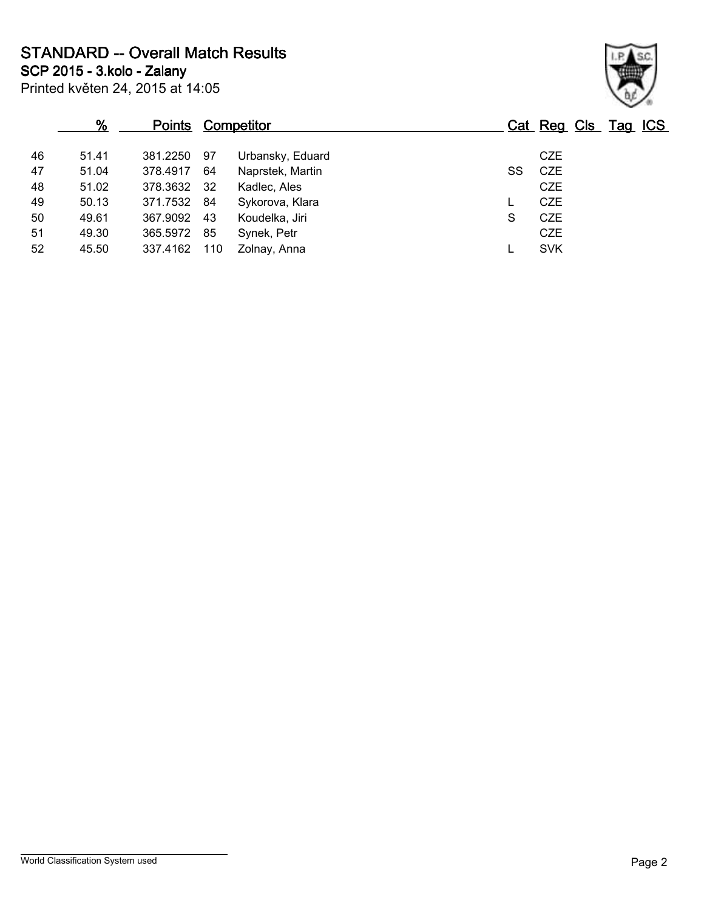**STANDARD -- Overall Match Results**

Printed květen 24, 2015 at 14:05 **SCP 2015 - 3.kolo - Zalany**

|    | %     | <b>Points Competitor</b> |     |                  |    | Cat Reg Cls Tag ICS |  |  |
|----|-------|--------------------------|-----|------------------|----|---------------------|--|--|
| 46 | 51.41 | 381.2250                 | 97  | Urbansky, Eduard |    | <b>CZE</b>          |  |  |
| 47 | 51.04 | 378.4917                 | 64  | Naprstek, Martin | SS | <b>CZE</b>          |  |  |
| 48 | 51.02 | 378.3632 32              |     | Kadlec, Ales     |    | <b>CZE</b>          |  |  |
| 49 | 50.13 | 371.7532 84              |     | Sykorova, Klara  |    | <b>CZE</b>          |  |  |
| 50 | 49.61 | 367.9092                 | 43  | Koudelka, Jiri   | S  | <b>CZE</b>          |  |  |
| 51 | 49.30 | 365.5972                 | 85  | Synek, Petr      |    | <b>CZE</b>          |  |  |
| 52 | 45.50 | 337.4162                 | 110 | Zolnav, Anna     |    | <b>SVK</b>          |  |  |
|    |       |                          |     |                  |    |                     |  |  |

World Classification System used **Page 2**